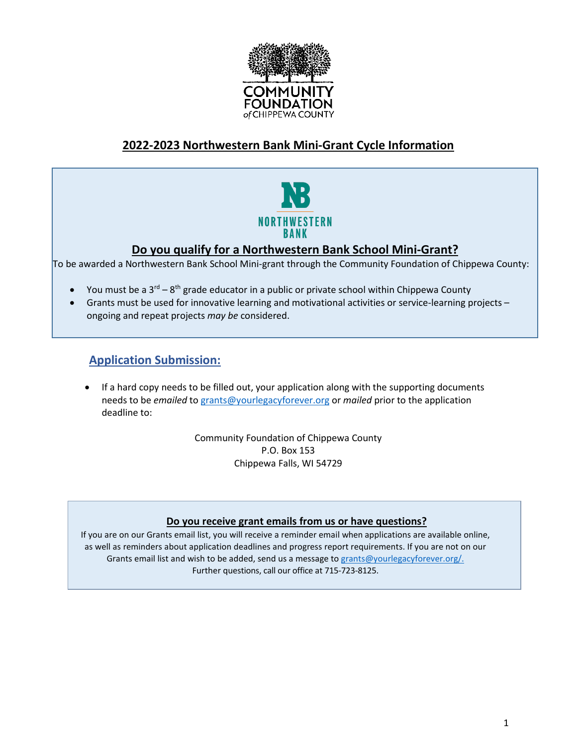

# **2022-2023 Northwestern Bank Mini-Grant Cycle Information**



# **Do you qualify for a Northwestern Bank School Mini-Grant?**

To be awarded a Northwestern Bank School Mini-grant through the Community Foundation of Chippewa County:

- You must be a  $3^{rd} 8^{th}$  grade educator in a public or private school within Chippewa County
- Grants must be used for innovative learning and motivational activities or service-learning projects ongoing and repeat projects *may be* considered.

# **Application Submission:**

• If a hard copy needs to be filled out, your application along with the supporting documents needs to be *emailed* to [grants@yourlegacyforever.org](mailto:grants@yourlegacyforever.org?subject=Grant%20Submission) or *mailed* prior to the application deadline to:

> Community Foundation of Chippewa County P.O. Box 153 Chippewa Falls, WI 54729

#### **Do you receive grant emails from us or have questions?**

If you are on our Grants email list, you will receive a reminder email when applications are available online, as well as reminders about application deadlines and progress report requirements. If you are not on our Grants email list and wish to be added, send us a message to grants@yourlegacyforever.org/. Further questions, call our office at 715-723-8125.